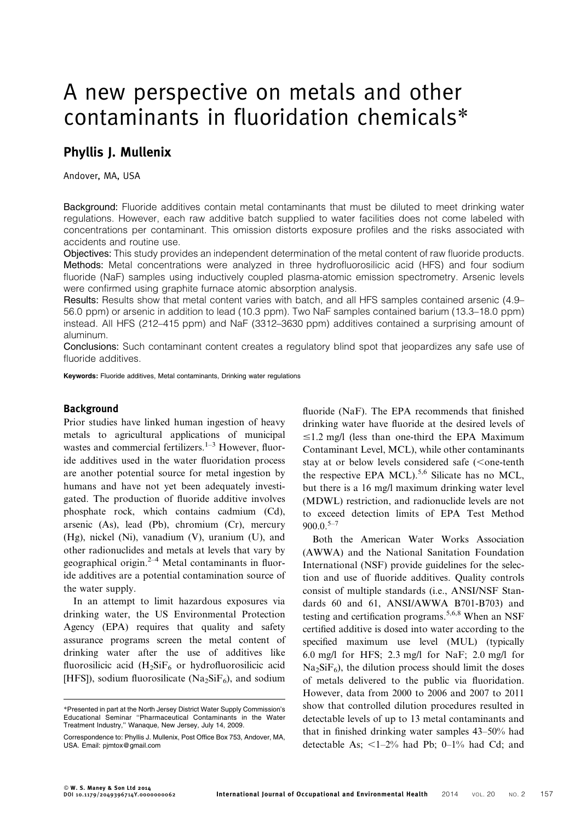# A new perspective on metals and other contaminants in fluoridation chemicals\*

# Phyllis J. Mullenix

Andover, MA, USA

Background: Fluoride additives contain metal contaminants that must be diluted to meet drinking water regulations. However, each raw additive batch supplied to water facilities does not come labeled with concentrations per contaminant. This omission distorts exposure profiles and the risks associated with accidents and routine use.

Objectives: This study provides an independent determination of the metal content of raw fluoride products. Methods: Metal concentrations were analyzed in three hydrofluorosilicic acid (HFS) and four sodium fluoride (NaF) samples using inductively coupled plasma-atomic emission spectrometry. Arsenic levels were confirmed using graphite furnace atomic absorption analysis.

Results: Results show that metal content varies with batch, and all HFS samples contained arsenic (4.9– 56.0 ppm) or arsenic in addition to lead (10.3 ppm). Two NaF samples contained barium (13.3–18.0 ppm) instead. All HFS (212–415 ppm) and NaF (3312–3630 ppm) additives contained a surprising amount of aluminum.

Conclusions: Such contaminant content creates a regulatory blind spot that jeopardizes any safe use of fluoride additives.

Keywords: Fluoride additives, Metal contaminants, Drinking water regulations

## Background

Prior studies have linked human ingestion of heavy metals to agricultural applications of municipal wastes and commercial fertilizers. $1-3$  However, fluoride additives used in the water fluoridation process are another potential source for metal ingestion by humans and have not yet been adequately investigated. The production of fluoride additive involves phosphate rock, which contains cadmium (Cd), arsenic (As), lead (Pb), chromium (Cr), mercury (Hg), nickel (Ni), vanadium (V), uranium (U), and other radionuclides and metals at levels that vary by geographical origin.<sup>2–4</sup> Metal contaminants in fluoride additives are a potential contamination source of the water supply.

In an attempt to limit hazardous exposures via drinking water, the US Environmental Protection Agency (EPA) requires that quality and safety assurance programs screen the metal content of drinking water after the use of additives like fluorosilicic acid  $(H_2SiF_6)$  or hydrofluorosilicic acid [HFS]), sodium fluorosilicate (Na<sub>2</sub>SiF<sub>6</sub>), and sodium

fluoride (NaF). The EPA recommends that finished drinking water have fluoride at the desired levels of  $\leq$ 1.2 mg/l (less than one-third the EPA Maximum Contaminant Level, MCL), while other contaminants stay at or below levels considered safe  $(<$ one-tenth the respective EPA MCL).<sup>5,6</sup> Silicate has no MCL, but there is a 16 mg/l maximum drinking water level (MDWL) restriction, and radionuclide levels are not to exceed detection limits of EPA Test Method  $900.0.^{5-7}$ 

Both the American Water Works Association (AWWA) and the National Sanitation Foundation International (NSF) provide guidelines for the selection and use of fluoride additives. Quality controls consist of multiple standards (i.e., ANSI/NSF Standards 60 and 61, ANSI/AWWA B701-B703) and testing and certification programs.<sup>5,6,8</sup> When an NSF certified additive is dosed into water according to the specified maximum use level (MUL) (typically 6.0 mg/l for HFS; 2.3 mg/l for NaF; 2.0 mg/l for  $Na<sub>2</sub>SiF<sub>6</sub>$ , the dilution process should limit the doses of metals delivered to the public via fluoridation. However, data from 2000 to 2006 and 2007 to 2011 show that controlled dilution procedures resulted in detectable levels of up to 13 metal contaminants and that in finished drinking water samples 43–50% had detectable As;  $\lt 1-2\%$  had Pb; 0–1% had Cd; and

<sup>\*</sup>Presented in part at the North Jersey District Water Supply Commission's Educational Seminar ''Pharmaceutical Contaminants in the Water Treatment Industry,'' Wanaque, New Jersey, July 14, 2009.

Correspondence to: Phyllis J. Mullenix, Post Office Box 753, Andover, MA, USA. Email: pjmtox@gmail.com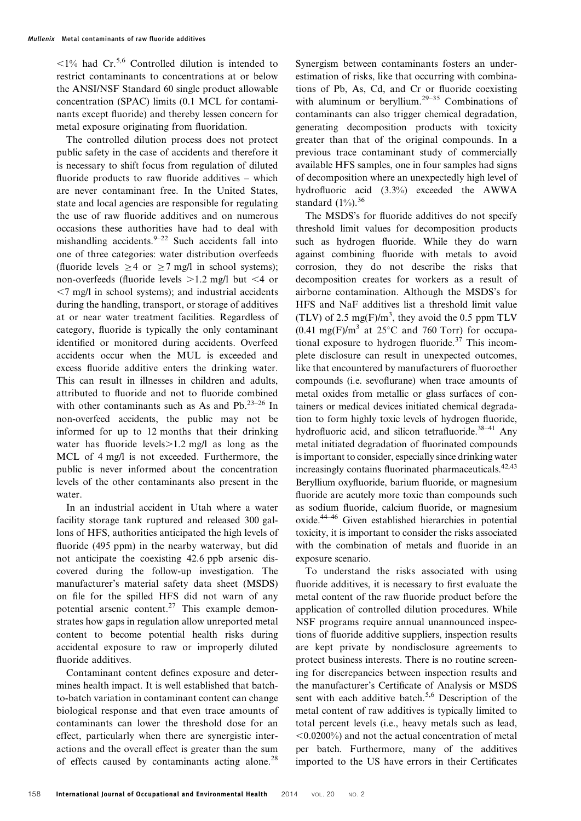$\langle 1\%$  had Cr.<sup>5,6</sup> Controlled dilution is intended to restrict contaminants to concentrations at or below the ANSI/NSF Standard 60 single product allowable concentration (SPAC) limits (0.1 MCL for contaminants except fluoride) and thereby lessen concern for metal exposure originating from fluoridation.

The controlled dilution process does not protect public safety in the case of accidents and therefore it is necessary to shift focus from regulation of diluted fluoride products to raw fluoride additives – which are never contaminant free. In the United States, state and local agencies are responsible for regulating the use of raw fluoride additives and on numerous occasions these authorities have had to deal with mishandling accidents. $9-22$  Such accidents fall into one of three categories: water distribution overfeeds (fluoride levels  $\geq 4$  or  $\geq 7$  mg/l in school systems); non-overfeeds (fluoride levels  $>1.2$  mg/l but <4 or  $\leq$  mg/l in school systems); and industrial accidents during the handling, transport, or storage of additives at or near water treatment facilities. Regardless of category, fluoride is typically the only contaminant identified or monitored during accidents. Overfeed accidents occur when the MUL is exceeded and excess fluoride additive enters the drinking water. This can result in illnesses in children and adults, attributed to fluoride and not to fluoride combined with other contaminants such as As and Pb. $^{23-26}$  In non-overfeed accidents, the public may not be informed for up to 12 months that their drinking water has fluoride levels $>1.2$  mg/l as long as the MCL of 4 mg/l is not exceeded. Furthermore, the public is never informed about the concentration levels of the other contaminants also present in the water.

In an industrial accident in Utah where a water facility storage tank ruptured and released 300 gallons of HFS, authorities anticipated the high levels of fluoride (495 ppm) in the nearby waterway, but did not anticipate the coexisting 42.6 ppb arsenic discovered during the follow-up investigation. The manufacturer's material safety data sheet (MSDS) on file for the spilled HFS did not warn of any potential arsenic content.<sup>27</sup> This example demonstrates how gaps in regulation allow unreported metal content to become potential health risks during accidental exposure to raw or improperly diluted fluoride additives.

Contaminant content defines exposure and determines health impact. It is well established that batchto-batch variation in contaminant content can change biological response and that even trace amounts of contaminants can lower the threshold dose for an effect, particularly when there are synergistic interactions and the overall effect is greater than the sum of effects caused by contaminants acting alone.<sup>28</sup>

Synergism between contaminants fosters an underestimation of risks, like that occurring with combinations of Pb, As, Cd, and Cr or fluoride coexisting with aluminum or beryllium.<sup>29-35</sup> Combinations of contaminants can also trigger chemical degradation, generating decomposition products with toxicity greater than that of the original compounds. In a previous trace contaminant study of commercially available HFS samples, one in four samples had signs of decomposition where an unexpectedly high level of hydrofluoric acid (3.3%) exceeded the AWWA standard  $(1\%)$ .<sup>36</sup>

The MSDS's for fluoride additives do not specify threshold limit values for decomposition products such as hydrogen fluoride. While they do warn against combining fluoride with metals to avoid corrosion, they do not describe the risks that decomposition creates for workers as a result of airborne contamination. Although the MSDS's for HFS and NaF additives list a threshold limit value (TLV) of 2.5 mg(F)/ $m<sup>3</sup>$ , they avoid the 0.5 ppm TLV  $(0.41 \text{ mg}(F)/m^3$  at  $25^{\circ}\text{C}$  and 760 Torr) for occupational exposure to hydrogen fluoride.<sup>37</sup> This incomplete disclosure can result in unexpected outcomes, like that encountered by manufacturers of fluoroether compounds (i.e. sevoflurane) when trace amounts of metal oxides from metallic or glass surfaces of containers or medical devices initiated chemical degradation to form highly toxic levels of hydrogen fluoride, hydrofluoric acid, and silicon tetrafluoride.<sup>38-41</sup> Any metal initiated degradation of fluorinated compounds is important to consider, especially since drinking water increasingly contains fluorinated pharmaceuticals. $42,43$ Beryllium oxyfluoride, barium fluoride, or magnesium fluoride are acutely more toxic than compounds such as sodium fluoride, calcium fluoride, or magnesium oxide.44–46 Given established hierarchies in potential toxicity, it is important to consider the risks associated with the combination of metals and fluoride in an exposure scenario.

To understand the risks associated with using fluoride additives, it is necessary to first evaluate the metal content of the raw fluoride product before the application of controlled dilution procedures. While NSF programs require annual unannounced inspections of fluoride additive suppliers, inspection results are kept private by nondisclosure agreements to protect business interests. There is no routine screening for discrepancies between inspection results and the manufacturer's Certificate of Analysis or MSDS sent with each additive batch.<sup>5,6</sup> Description of the metal content of raw additives is typically limited to total percent levels (i.e., heavy metals such as lead,  $\leq 0.0200\%$ ) and not the actual concentration of metal per batch. Furthermore, many of the additives imported to the US have errors in their Certificates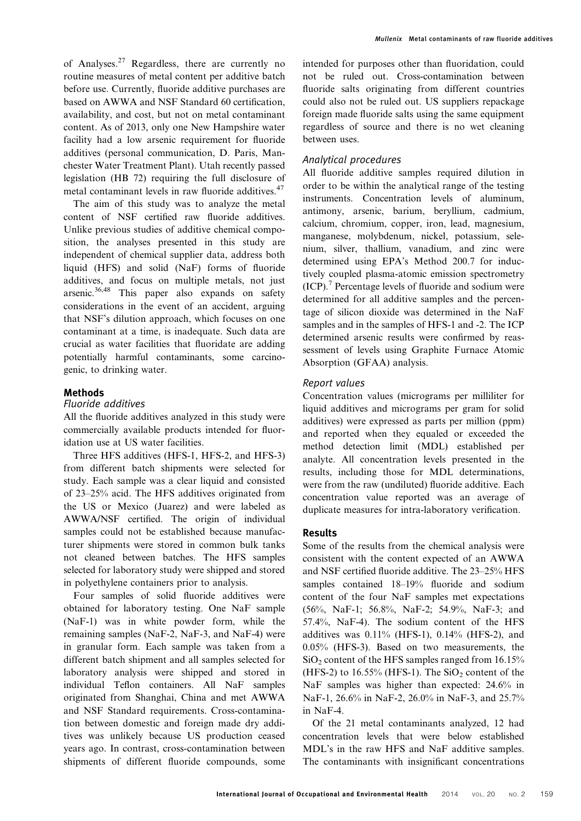of Analyses.<sup>27</sup> Regardless, there are currently no routine measures of metal content per additive batch before use. Currently, fluoride additive purchases are based on AWWA and NSF Standard 60 certification, availability, and cost, but not on metal contaminant content. As of 2013, only one New Hampshire water facility had a low arsenic requirement for fluoride additives (personal communication, D. Paris, Manchester Water Treatment Plant). Utah recently passed legislation (HB 72) requiring the full disclosure of metal contaminant levels in raw fluoride additives.<sup>47</sup>

The aim of this study was to analyze the metal content of NSF certified raw fluoride additives. Unlike previous studies of additive chemical composition, the analyses presented in this study are independent of chemical supplier data, address both liquid (HFS) and solid (NaF) forms of fluoride additives, and focus on multiple metals, not just arsenic.<sup>36,48</sup> This paper also expands on safety considerations in the event of an accident, arguing that NSF's dilution approach, which focuses on one contaminant at a time, is inadequate. Such data are crucial as water facilities that fluoridate are adding potentially harmful contaminants, some carcinogenic, to drinking water.

# Methods

#### Fluoride additives

All the fluoride additives analyzed in this study were commercially available products intended for fluoridation use at US water facilities.

Three HFS additives (HFS-1, HFS-2, and HFS-3) from different batch shipments were selected for study. Each sample was a clear liquid and consisted of 23–25% acid. The HFS additives originated from the US or Mexico (Juarez) and were labeled as AWWA/NSF certified. The origin of individual samples could not be established because manufacturer shipments were stored in common bulk tanks not cleaned between batches. The HFS samples selected for laboratory study were shipped and stored in polyethylene containers prior to analysis.

Four samples of solid fluoride additives were obtained for laboratory testing. One NaF sample (NaF-1) was in white powder form, while the remaining samples (NaF-2, NaF-3, and NaF-4) were in granular form. Each sample was taken from a different batch shipment and all samples selected for laboratory analysis were shipped and stored in individual Teflon containers. All NaF samples originated from Shanghai, China and met AWWA and NSF Standard requirements. Cross-contamination between domestic and foreign made dry additives was unlikely because US production ceased years ago. In contrast, cross-contamination between shipments of different fluoride compounds, some intended for purposes other than fluoridation, could not be ruled out. Cross-contamination between fluoride salts originating from different countries could also not be ruled out. US suppliers repackage foreign made fluoride salts using the same equipment regardless of source and there is no wet cleaning between uses.

# Analytical procedures

All fluoride additive samples required dilution in order to be within the analytical range of the testing instruments. Concentration levels of aluminum, antimony, arsenic, barium, beryllium, cadmium, calcium, chromium, copper, iron, lead, magnesium, manganese, molybdenum, nickel, potassium, selenium, silver, thallium, vanadium, and zinc were determined using EPA's Method 200.7 for inductively coupled plasma-atomic emission spectrometry  $(ICP).$ <sup>7</sup> Percentage levels of fluoride and sodium were determined for all additive samples and the percentage of silicon dioxide was determined in the NaF samples and in the samples of HFS-1 and -2. The ICP determined arsenic results were confirmed by reassessment of levels using Graphite Furnace Atomic Absorption (GFAA) analysis.

# Report values

Concentration values (micrograms per milliliter for liquid additives and micrograms per gram for solid additives) were expressed as parts per million (ppm) and reported when they equaled or exceeded the method detection limit (MDL) established per analyte. All concentration levels presented in the results, including those for MDL determinations, were from the raw (undiluted) fluoride additive. Each concentration value reported was an average of duplicate measures for intra-laboratory verification.

#### Results

Some of the results from the chemical analysis were consistent with the content expected of an AWWA and NSF certified fluoride additive. The 23–25% HFS samples contained 18–19% fluoride and sodium content of the four NaF samples met expectations (56%, NaF-1; 56.8%, NaF-2; 54.9%, NaF-3; and 57.4%, NaF-4). The sodium content of the HFS additives was 0.11% (HFS-1), 0.14% (HFS-2), and 0.05% (HFS-3). Based on two measurements, the  $SiO<sub>2</sub>$  content of the HFS samples ranged from 16.15% (HFS-2) to  $16.55\%$  (HFS-1). The SiO<sub>2</sub> content of the NaF samples was higher than expected: 24.6% in NaF-1, 26.6% in NaF-2, 26.0% in NaF-3, and 25.7% in NaF-4.

Of the 21 metal contaminants analyzed, 12 had concentration levels that were below established MDL's in the raw HFS and NaF additive samples. The contaminants with insignificant concentrations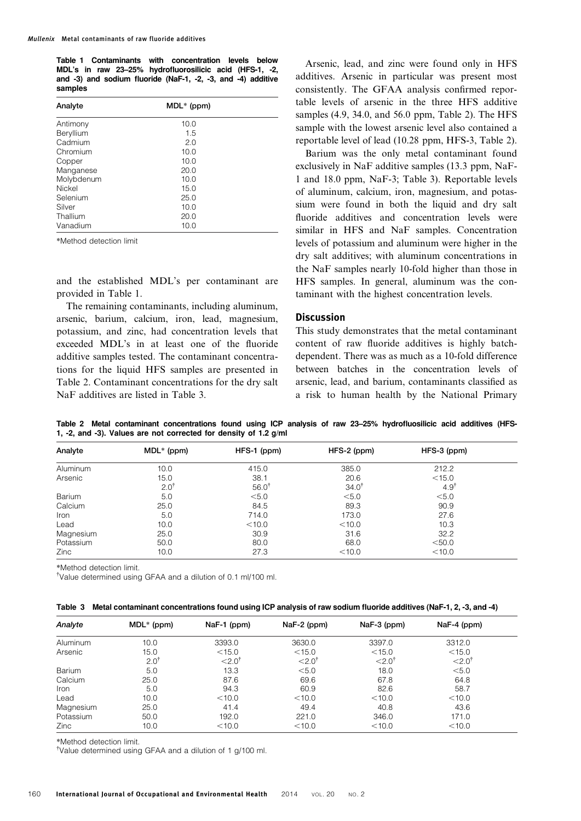Table 1 Contaminants with concentration levels below MDL's in raw 23–25% hydrofluorosilicic acid (HFS-1, -2, and -3) and sodium fluoride (NaF-1, -2, -3, and -4) additive samples

| Analyte       | $MDL*$ (ppm) |  |
|---------------|--------------|--|
| Antimony      | 10.0         |  |
| Beryllium     | 1.5          |  |
| Cadmium       | 2.0          |  |
| Chromium      | 10.0         |  |
| Copper        | 10.0         |  |
| Manganese     | 20.0         |  |
| Molybdenum    | 10.0         |  |
| <b>Nickel</b> | 15.0         |  |
| Selenium      | 25.0         |  |
| Silver        | 10.0         |  |
| Thallium      | 20.0         |  |
| Vanadium      | 10.0         |  |

\*Method detection limit

and the established MDL's per contaminant are provided in Table 1.

The remaining contaminants, including aluminum, arsenic, barium, calcium, iron, lead, magnesium, potassium, and zinc, had concentration levels that exceeded MDL's in at least one of the fluoride additive samples tested. The contaminant concentrations for the liquid HFS samples are presented in Table 2. Contaminant concentrations for the dry salt NaF additives are listed in Table 3.

Arsenic, lead, and zinc were found only in HFS additives. Arsenic in particular was present most consistently. The GFAA analysis confirmed reportable levels of arsenic in the three HFS additive samples (4.9, 34.0, and 56.0 ppm, Table 2). The HFS sample with the lowest arsenic level also contained a reportable level of lead (10.28 ppm, HFS-3, Table 2).

Barium was the only metal contaminant found exclusively in NaF additive samples (13.3 ppm, NaF-1 and 18.0 ppm, NaF-3; Table 3). Reportable levels of aluminum, calcium, iron, magnesium, and potassium were found in both the liquid and dry salt fluoride additives and concentration levels were similar in HFS and NaF samples. Concentration levels of potassium and aluminum were higher in the dry salt additives; with aluminum concentrations in the NaF samples nearly 10-fold higher than those in HFS samples. In general, aluminum was the contaminant with the highest concentration levels.

# **Discussion**

This study demonstrates that the metal contaminant content of raw fluoride additives is highly batchdependent. There was as much as a 10-fold difference between batches in the concentration levels of arsenic, lead, and barium, contaminants classified as a risk to human health by the National Primary

Table 2 Metal contaminant concentrations found using ICP analysis of raw 23–25% hydrofluosilicic acid additives (HFS-1, -2, and -3). Values are not corrected for density of 1.2 g/ml

| Analyte   | $MDL^*$ (ppm)   | HFS-1 (ppm)      | $HFS-2$ (ppm)    | $HFS-3$ (ppm)   |  |
|-----------|-----------------|------------------|------------------|-----------------|--|
| Aluminum  | 10.0            | 415.0            | 385.0            | 212.2           |  |
| Arsenic   | 15.0            | 38.1             | 20.6             | $<$ 15.0        |  |
|           | $2.0^{\dagger}$ | $56.0^{\dagger}$ | $34.0^{\dagger}$ | $4.9^{\dagger}$ |  |
| Barium    | 5.0             | < 5.0            | < 5.0            | < 5.0           |  |
| Calcium   | 25.0            | 84.5             | 89.3             | 90.9            |  |
| Iron      | 5.0             | 714.0            | 173.0            | 27.6            |  |
| Lead      | 10.0            | $<$ 10.0         | $<$ 10.0         | 10.3            |  |
| Magnesium | 25.0            | 30.9             | 31.6             | 32.2            |  |
| Potassium | 50.0            | 80.0             | 68.0             | < 50.0          |  |
| Zinc      | 10.0            | 27.3             | $<$ 10.0         | $<$ 10.0        |  |
|           |                 |                  |                  |                 |  |

\*Method detection limit.

<sup>†</sup>Value determined using GFAA and a dilution of 0.1 ml/100 ml.

|  | Table 3 Metal contaminant concentrations found using ICP analysis of raw sodium fluoride additives (NaF-1, 2, -3, and -4) |  |  |  |  |  |  |  |
|--|---------------------------------------------------------------------------------------------------------------------------|--|--|--|--|--|--|--|
|--|---------------------------------------------------------------------------------------------------------------------------|--|--|--|--|--|--|--|

| Analyte   | $MDL^*$ (ppm) | NaF-1 (ppm)                             | NaF-2 (ppm)                             | NaF-3 (ppm)          | NaF-4 (ppm)                             |  |
|-----------|---------------|-----------------------------------------|-----------------------------------------|----------------------|-----------------------------------------|--|
| Aluminum  | 10.0          | 3393.0                                  | 3630.0                                  | 3397.0               | 3312.0                                  |  |
| Arsenic   | 15.0          | $<$ 15.0                                | $<$ 15.0                                | $<$ 15.0             | $<$ 15.0                                |  |
|           | $2.0^\dagger$ | $<$ 2.0 <sup><math>\degree</math></sup> | $<$ 2.0 <sup><math>\degree</math></sup> | $<$ 2.0 <sup>†</sup> | $<$ 2.0 <sup><math>\degree</math></sup> |  |
| Barium    | 5.0           | 13.3                                    | < 5.0                                   | 18.0                 | < 5.0                                   |  |
| Calcium   | 25.0          | 87.6                                    | 69.6                                    | 67.8                 | 64.8                                    |  |
| Iron      | 5.0           | 94.3                                    | 60.9                                    | 82.6                 | 58.7                                    |  |
| Lead      | 10.0          | $<$ 10.0                                | $<$ 10.0                                | $<$ 10.0             | $<$ 10.0                                |  |
| Magnesium | 25.0          | 41.4                                    | 49.4                                    | 40.8                 | 43.6                                    |  |
| Potassium | 50.0          | 192.0                                   | 221.0                                   | 346.0                | 171.0                                   |  |
| Zinc      | 10.0          | $<$ 10.0                                | $<$ 10.0                                | $<$ 10.0             | $<$ 10.0                                |  |

\*Method detection limit.

<sup>†</sup>Value determined using GFAA and a dilution of 1 g/100 ml.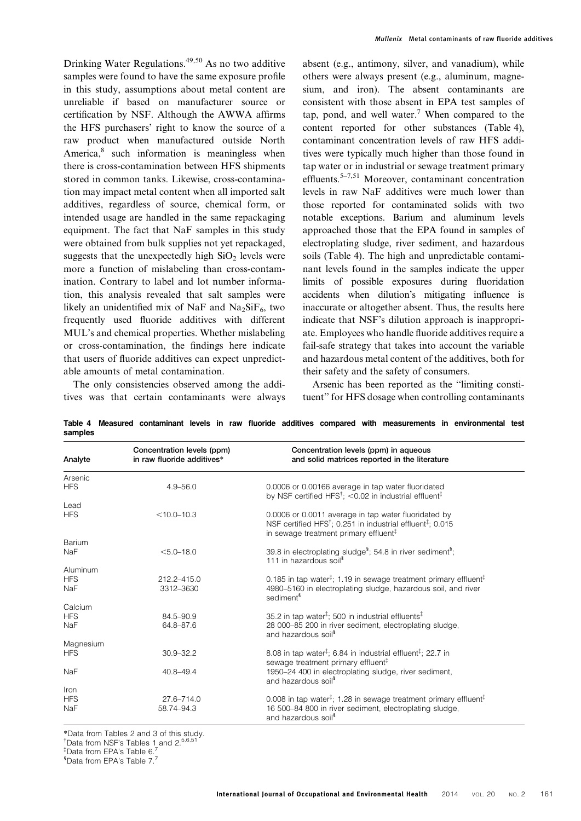Drinking Water Regulations.<sup>49,50</sup> As no two additive samples were found to have the same exposure profile in this study, assumptions about metal content are unreliable if based on manufacturer source or certification by NSF. Although the AWWA affirms the HFS purchasers' right to know the source of a raw product when manufactured outside North America, $\delta$  such information is meaningless when there is cross-contamination between HFS shipments stored in common tanks. Likewise, cross-contamination may impact metal content when all imported salt additives, regardless of source, chemical form, or intended usage are handled in the same repackaging equipment. The fact that NaF samples in this study were obtained from bulk supplies not yet repackaged, suggests that the unexpectedly high  $SiO<sub>2</sub>$  levels were more a function of mislabeling than cross-contamination. Contrary to label and lot number information, this analysis revealed that salt samples were likely an unidentified mix of NaF and  $Na<sub>2</sub>SiF<sub>6</sub>$ , two frequently used fluoride additives with different MUL's and chemical properties. Whether mislabeling or cross-contamination, the findings here indicate that users of fluoride additives can expect unpredictable amounts of metal contamination.

The only consistencies observed among the additives was that certain contaminants were always absent (e.g., antimony, silver, and vanadium), while others were always present (e.g., aluminum, magnesium, and iron). The absent contaminants are consistent with those absent in EPA test samples of tap, pond, and well water.<sup>7</sup> When compared to the content reported for other substances (Table 4), contaminant concentration levels of raw HFS additives were typically much higher than those found in tap water or in industrial or sewage treatment primary effluents.<sup>5–7,51</sup> Moreover, contaminant concentration levels in raw NaF additives were much lower than those reported for contaminated solids with two notable exceptions. Barium and aluminum levels approached those that the EPA found in samples of electroplating sludge, river sediment, and hazardous soils (Table 4). The high and unpredictable contaminant levels found in the samples indicate the upper limits of possible exposures during fluoridation accidents when dilution's mitigating influence is inaccurate or altogether absent. Thus, the results here indicate that NSF's dilution approach is inappropriate. Employees who handle fluoride additives require a fail-safe strategy that takes into account the variable and hazardous metal content of the additives, both for their safety and the safety of consumers.

Arsenic has been reported as the ''limiting constituent'' for HFS dosage when controlling contaminants

|         |  |  |  |  | Table 4 Measured contaminant levels in raw fluoride additives compared with measurements in environmental test |  |  |
|---------|--|--|--|--|----------------------------------------------------------------------------------------------------------------|--|--|
| samples |  |  |  |  |                                                                                                                |  |  |

| Analyte    | Concentration levels (ppm)<br>in raw fluoride additives* | Concentration levels (ppm) in aqueous<br>and solid matrices reported in the literature                                                                                                            |
|------------|----------------------------------------------------------|---------------------------------------------------------------------------------------------------------------------------------------------------------------------------------------------------|
| Arsenic    |                                                          |                                                                                                                                                                                                   |
| <b>HFS</b> | $4.9 - 56.0$                                             | 0.0006 or 0.00166 average in tap water fluoridated<br>by NSF certified HFS <sup>†</sup> ; <0.02 in industrial effluent <sup>‡</sup>                                                               |
| Lead       |                                                          |                                                                                                                                                                                                   |
| <b>HFS</b> | $< 10.0 - 10.3$                                          | 0.0006 or 0.0011 average in tap water fluoridated by<br>NSF certified HFS <sup>†</sup> ; 0.251 in industrial effluent <sup>‡</sup> ; 0.015<br>in sewage treatment primary effluent $\mathfrak{t}$ |
| Barium     |                                                          |                                                                                                                                                                                                   |
| NaF        | $< 5.0 - 18.0$                                           | 39.8 in electroplating sludge <sup>5</sup> ; 54.8 in river sediment <sup>5</sup> ;<br>111 in hazardous soil <sup>§</sup>                                                                          |
| Aluminum   |                                                          |                                                                                                                                                                                                   |
| <b>HFS</b> | 212.2-415.0                                              | 0.185 in tap water <sup><math>\ddagger</math></sup> ; 1.19 in sewage treatment primary effluent <sup><math>\ddagger</math></sup>                                                                  |
| <b>NaF</b> | 3312-3630                                                | 4980-5160 in electroplating sludge, hazardous soil, and river<br>sediment <sup>§</sup>                                                                                                            |
| Calcium    |                                                          |                                                                                                                                                                                                   |
| <b>HFS</b> | 84.5-90.9                                                | 35.2 in tap water <sup><math>\ddagger</math></sup> ; 500 in industrial effluents <sup><math>\ddagger</math></sup>                                                                                 |
| NaF        | 64.8-87.6                                                | 28 000-85 200 in river sediment, electroplating sludge,<br>and hazardous soil <sup>§</sup>                                                                                                        |
| Magnesium  |                                                          |                                                                                                                                                                                                   |
| <b>HFS</b> | $30.9 - 32.2$                                            | 8.08 in tap water <sup><math>\ddagger</math></sup> ; 6.84 in industrial effluent <sup><math>\ddagger</math></sup> ; 22.7 in<br>sewage treatment primary effluent <sup>#</sup>                     |
| NaF        | $40.8 - 49.4$                                            | 1950-24 400 in electroplating sludge, river sediment,<br>and hazardous soil <sup>§</sup>                                                                                                          |
| Iron       |                                                          |                                                                                                                                                                                                   |
| <b>HFS</b> | 27.6-714.0                                               | 0.008 in tap water <sup><math>\ddagger</math></sup> ; 1.28 in sewage treatment primary effluent <sup><math>\ddagger</math></sup>                                                                  |
| NaF        | 58.74-94.3                                               | 16 500-84 800 in river sediment, electroplating sludge,<br>and hazardous soil <sup>§</sup>                                                                                                        |

\*Data from Tables 2 and 3 of this study. <sup>†</sup>Data from NSF's Tables 1 and 2.<sup>5,6,51</sup>

<sup>#</sup>Data from EPA's Table 6.<sup>7</sup>

<sup>5</sup> Data from EPA's Table 7.7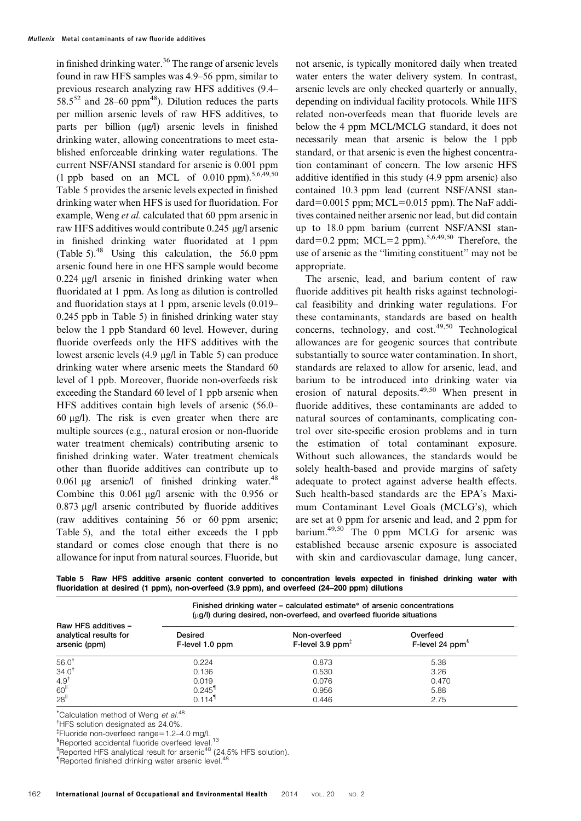in finished drinking water.<sup>36</sup> The range of arsenic levels found in raw HFS samples was 4.9–56 ppm, similar to previous research analyzing raw HFS additives (9.4– 58.5<sup>52</sup> and 28–60 ppm<sup>48</sup>). Dilution reduces the parts per million arsenic levels of raw HFS additives, to parts per billion (µg/l) arsenic levels in finished drinking water, allowing concentrations to meet established enforceable drinking water regulations. The current NSF/ANSI standard for arsenic is 0.001 ppm (1 ppb based on an MCL of 0.010 ppm).  $5,6,49,50$ Table 5 provides the arsenic levels expected in finished drinking water when HFS is used for fluoridation. For example, Weng *et al.* calculated that 60 ppm arsenic in raw HFS additives would contribute 0.245 μg/l arsenic in finished drinking water fluoridated at 1 ppm (Table 5).<sup>48</sup> Using this calculation, the 56.0 ppm arsenic found here in one HFS sample would become  $0.224 \mu$ g/l arsenic in finished drinking water when fluoridated at 1 ppm. As long as dilution is controlled and fluoridation stays at 1 ppm, arsenic levels (0.019– 0.245 ppb in Table 5) in finished drinking water stay below the 1 ppb Standard 60 level. However, during fluoride overfeeds only the HFS additives with the lowest arsenic levels  $(4.9 \mu g/l)$  in Table 5) can produce drinking water where arsenic meets the Standard 60 level of 1 ppb. Moreover, fluoride non-overfeeds risk exceeding the Standard 60 level of 1 ppb arsenic when HFS additives contain high levels of arsenic (56.0– 60  $\mu$ g/l). The risk is even greater when there are multiple sources (e.g., natural erosion or non-fluoride water treatment chemicals) contributing arsenic to finished drinking water. Water treatment chemicals other than fluoride additives can contribute up to 0.061  $\mu$ g arsenic/l of finished drinking water.<sup>48</sup> Combine this  $0.061 \mu g/l$  arsenic with the 0.956 or  $0.873$   $\mu$ g/l arsenic contributed by fluoride additives (raw additives containing 56 or 60 ppm arsenic; Table 5), and the total either exceeds the 1 ppb standard or comes close enough that there is no allowance for input from natural sources. Fluoride, but

not arsenic, is typically monitored daily when treated water enters the water delivery system. In contrast, arsenic levels are only checked quarterly or annually, depending on individual facility protocols. While HFS related non-overfeeds mean that fluoride levels are below the 4 ppm MCL/MCLG standard, it does not necessarily mean that arsenic is below the 1 ppb standard, or that arsenic is even the highest concentration contaminant of concern. The low arsenic HFS additive identified in this study (4.9 ppm arsenic) also contained 10.3 ppm lead (current NSF/ANSI standard=0.0015 ppm;  $MCL=0.015$  ppm). The NaF additives contained neither arsenic nor lead, but did contain up to 18.0 ppm barium (current NSF/ANSI standard=0.2 ppm; MCL=2 ppm).<sup>5,6,49,50</sup> Therefore, the use of arsenic as the ''limiting constituent'' may not be appropriate.

The arsenic, lead, and barium content of raw fluoride additives pit health risks against technological feasibility and drinking water regulations. For these contaminants, standards are based on health concerns, technology, and  $cost^{49,50}$  Technological allowances are for geogenic sources that contribute substantially to source water contamination. In short, standards are relaxed to allow for arsenic, lead, and barium to be introduced into drinking water via erosion of natural deposits.49,50 When present in fluoride additives, these contaminants are added to natural sources of contaminants, complicating control over site-specific erosion problems and in turn the estimation of total contaminant exposure. Without such allowances, the standards would be solely health-based and provide margins of safety adequate to protect against adverse health effects. Such health-based standards are the EPA's Maximum Contaminant Level Goals (MCLG's), which are set at 0 ppm for arsenic and lead, and 2 ppm for barium.<sup>49,50</sup> The 0 ppm MCLG for arsenic was established because arsenic exposure is associated with skin and cardiovascular damage, lung cancer,

Table 5 Raw HFS additive arsenic content converted to concentration levels expected in finished drinking water with fluoridation at desired (1 ppm), non-overfeed (3.9 ppm), and overfeed (24–200 ppm) dilutions

|                                                                | Finished drinking water – calculated estimate* of arsenic concentrations<br>$(\mu q)$ during desired, non-overfeed, and overfeed fluoride situations |                                     |                                         |  |  |  |  |  |
|----------------------------------------------------------------|------------------------------------------------------------------------------------------------------------------------------------------------------|-------------------------------------|-----------------------------------------|--|--|--|--|--|
| Raw HFS additives -<br>analytical results for<br>arsenic (ppm) | Desired<br>F-level 1.0 ppm                                                                                                                           | Non-overfeed<br>F-level 3.9 ppm $3$ | Overfeed<br>F-level 24 ppm <sup>3</sup> |  |  |  |  |  |
| $56.0^{\dagger}$                                               | 0.224                                                                                                                                                | 0.873                               | 5.38                                    |  |  |  |  |  |
| $34.0^{\dagger}$                                               | 0.136                                                                                                                                                | 0.530                               | 3.26                                    |  |  |  |  |  |
| $4.9^{\dagger}$                                                | 0.019                                                                                                                                                | 0.076                               | 0.470                                   |  |  |  |  |  |
| 60 <sup>II</sup>                                               | $0.245$ <sup>1</sup>                                                                                                                                 | 0.956                               | 5.88                                    |  |  |  |  |  |
| 28 <sup>1</sup>                                                | $0.114$ <sup>1</sup>                                                                                                                                 | 0.446                               | 2.75                                    |  |  |  |  |  |

\*Calculation method of Weng et al.<sup>48</sup>

{ HFS solution designated as 24.0%.

*I*Fluoride non-overfeed range=1.2-4.0 mg/l.

<sup>‡</sup>Fluoride non-overfeed range=1.2–4.0 mg/l.<br><sup>§</sup>Reported accidental fluoride overfeed level.<sup>13</sup>

**Experies assessments are respectively.** The ported HFS analytical result for arsenic<sup>48</sup> (24.5% HFS solution).

<sup>1</sup>Reported finished drinking water arsenic level.<sup>48</sup>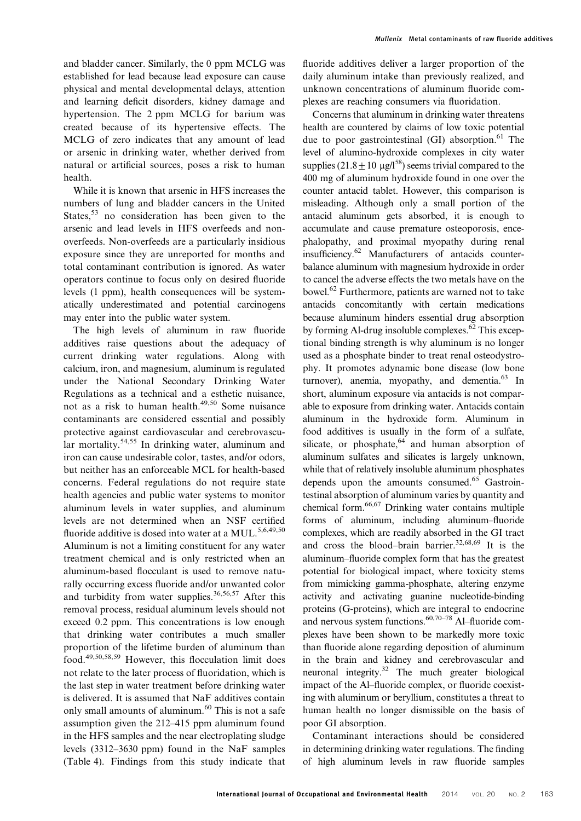and bladder cancer. Similarly, the 0 ppm MCLG was established for lead because lead exposure can cause physical and mental developmental delays, attention and learning deficit disorders, kidney damage and hypertension. The 2 ppm MCLG for barium was created because of its hypertensive effects. The MCLG of zero indicates that any amount of lead or arsenic in drinking water, whether derived from natural or artificial sources, poses a risk to human health.

While it is known that arsenic in HFS increases the numbers of lung and bladder cancers in the United States,  $53$  no consideration has been given to the arsenic and lead levels in HFS overfeeds and nonoverfeeds. Non-overfeeds are a particularly insidious exposure since they are unreported for months and total contaminant contribution is ignored. As water operators continue to focus only on desired fluoride levels (1 ppm), health consequences will be systematically underestimated and potential carcinogens may enter into the public water system.

The high levels of aluminum in raw fluoride additives raise questions about the adequacy of current drinking water regulations. Along with calcium, iron, and magnesium, aluminum is regulated under the National Secondary Drinking Water Regulations as a technical and a esthetic nuisance, not as a risk to human health. $49,50$  Some nuisance contaminants are considered essential and possibly protective against cardiovascular and cerebrovascular mortality.<sup>54,55</sup> In drinking water, aluminum and iron can cause undesirable color, tastes, and/or odors, but neither has an enforceable MCL for health-based concerns. Federal regulations do not require state health agencies and public water systems to monitor aluminum levels in water supplies, and aluminum levels are not determined when an NSF certified fluoride additive is dosed into water at a MUL.<sup>5,6,49,50</sup> Aluminum is not a limiting constituent for any water treatment chemical and is only restricted when an aluminum-based flocculant is used to remove naturally occurring excess fluoride and/or unwanted color and turbidity from water supplies.<sup>36,56,57</sup> After this removal process, residual aluminum levels should not exceed 0.2 ppm. This concentrations is low enough that drinking water contributes a much smaller proportion of the lifetime burden of aluminum than food.49,50,58,59 However, this flocculation limit does not relate to the later process of fluoridation, which is the last step in water treatment before drinking water is delivered. It is assumed that NaF additives contain only small amounts of aluminum.<sup>60</sup> This is not a safe assumption given the 212–415 ppm aluminum found in the HFS samples and the near electroplating sludge levels (3312–3630 ppm) found in the NaF samples (Table 4). Findings from this study indicate that

fluoride additives deliver a larger proportion of the daily aluminum intake than previously realized, and unknown concentrations of aluminum fluoride complexes are reaching consumers via fluoridation.

Concerns that aluminum in drinking water threatens health are countered by claims of low toxic potential due to poor gastrointestinal  $(GI)$  absorption.<sup>61</sup> The level of alumino-hydroxide complexes in city water supplies  $(21.8 \pm 10 \text{ µg/l}^{58})$  seems trivial compared to the 400 mg of aluminum hydroxide found in one over the counter antacid tablet. However, this comparison is misleading. Although only a small portion of the antacid aluminum gets absorbed, it is enough to accumulate and cause premature osteoporosis, encephalopathy, and proximal myopathy during renal insufficiency.62 Manufacturers of antacids counterbalance aluminum with magnesium hydroxide in order to cancel the adverse effects the two metals have on the bowel.<sup>62</sup> Furthermore, patients are warned not to take antacids concomitantly with certain medications because aluminum hinders essential drug absorption by forming Al-drug insoluble complexes. $62$  This exceptional binding strength is why aluminum is no longer used as a phosphate binder to treat renal osteodystrophy. It promotes adynamic bone disease (low bone turnover), anemia, myopathy, and dementia. $^{63}$  In short, aluminum exposure via antacids is not comparable to exposure from drinking water. Antacids contain aluminum in the hydroxide form. Aluminum in food additives is usually in the form of a sulfate, silicate, or phosphate,  $64$  and human absorption of aluminum sulfates and silicates is largely unknown, while that of relatively insoluble aluminum phosphates depends upon the amounts consumed.<sup>65</sup> Gastrointestinal absorption of aluminum varies by quantity and chemical form.66,67 Drinking water contains multiple forms of aluminum, including aluminum–fluoride complexes, which are readily absorbed in the GI tract and cross the blood–brain barrier.<sup>32,68,69</sup> It is the aluminum–fluoride complex form that has the greatest potential for biological impact, where toxicity stems from mimicking gamma-phosphate, altering enzyme activity and activating guanine nucleotide-binding proteins (G-proteins), which are integral to endocrine and nervous system functions. $60,70-78$  Al–fluoride complexes have been shown to be markedly more toxic than fluoride alone regarding deposition of aluminum in the brain and kidney and cerebrovascular and neuronal integrity.32 The much greater biological impact of the Al–fluoride complex, or fluoride coexisting with aluminum or beryllium, constitutes a threat to human health no longer dismissible on the basis of poor GI absorption.

Contaminant interactions should be considered in determining drinking water regulations. The finding of high aluminum levels in raw fluoride samples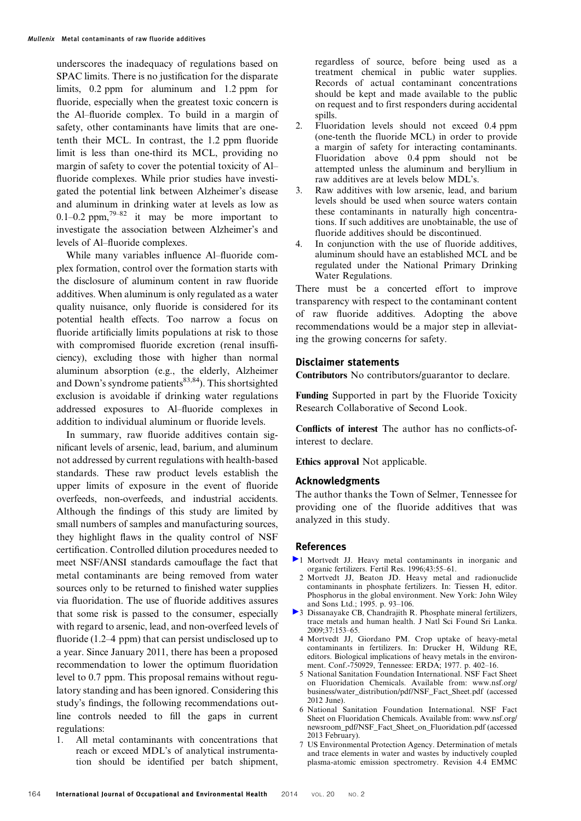underscores the inadequacy of regulations based on SPAC limits. There is no justification for the disparate limits, 0.2 ppm for aluminum and 1.2 ppm for fluoride, especially when the greatest toxic concern is the Al–fluoride complex. To build in a margin of safety, other contaminants have limits that are onetenth their MCL. In contrast, the 1.2 ppm fluoride limit is less than one-third its MCL, providing no margin of safety to cover the potential toxicity of Al– fluoride complexes. While prior studies have investigated the potential link between Alzheimer's disease and aluminum in drinking water at levels as low as 0.1–0.2 ppm,<sup>79–82</sup> it may be more important to investigate the association between Alzheimer's and levels of Al–fluoride complexes.

While many variables influence Al–fluoride complex formation, control over the formation starts with the disclosure of aluminum content in raw fluoride additives. When aluminum is only regulated as a water quality nuisance, only fluoride is considered for its potential health effects. Too narrow a focus on fluoride artificially limits populations at risk to those with compromised fluoride excretion (renal insufficiency), excluding those with higher than normal aluminum absorption (e.g., the elderly, Alzheimer and Down's syndrome patients $83,84$ ). This shortsighted exclusion is avoidable if drinking water regulations addressed exposures to Al–fluoride complexes in addition to individual aluminum or fluoride levels.

In summary, raw fluoride additives contain significant levels of arsenic, lead, barium, and aluminum not addressed by current regulations with health-based standards. These raw product levels establish the upper limits of exposure in the event of fluoride overfeeds, non-overfeeds, and industrial accidents. Although the findings of this study are limited by small numbers of samples and manufacturing sources, they highlight flaws in the quality control of NSF certification. Controlled dilution procedures needed to meet NSF/ANSI standards camouflage the fact that metal contaminants are being removed from water sources only to be returned to finished water supplies via fluoridation. The use of fluoride additives assures that some risk is passed to the consumer, especially with regard to arsenic, lead, and non-overfeed levels of fluoride (1.2–4 ppm) that can persist undisclosed up to a year. Since January 2011, there has been a proposed recommendation to lower the optimum fluoridation level to 0.7 ppm. This proposal remains without regulatory standing and has been ignored. Considering this study's findings, the following recommendations outline controls needed to fill the gaps in current regulations:

1. All metal contaminants with concentrations that reach or exceed MDL's of analytical instrumentation should be identified per batch shipment, regardless of source, before being used as a treatment chemical in public water supplies. Records of actual contaminant concentrations should be kept and made available to the public on request and to first responders during accidental spills.

- 2. Fluoridation levels should not exceed 0.4 ppm (one-tenth the fluoride MCL) in order to provide a margin of safety for interacting contaminants. Fluoridation above 0.4 ppm should not be attempted unless the aluminum and beryllium in raw additives are at levels below MDL's.
- 3. Raw additives with low arsenic, lead, and barium levels should be used when source waters contain these contaminants in naturally high concentrations. If such additives are unobtainable, the use of fluoride additives should be discontinued.
- 4. In conjunction with the use of fluoride additives, aluminum should have an established MCL and be regulated under the National Primary Drinking Water Regulations.

There must be a concerted effort to improve transparency with respect to the contaminant content of raw fluoride additives. Adopting the above recommendations would be a major step in alleviating the growing concerns for safety.

#### Disclaimer statements

Contributors No contributors/guarantor to declare.

Funding Supported in part by the Fluoride Toxicity Research Collaborative of Second Look.

Conflicts of interest The author has no conflicts-ofinterest to declare.

Ethics approval Not applicable.

#### Acknowledgments

The author thanks the Town of Selmer, Tennessee for providing one of the fluoride additives that was analyzed in this study.

#### References

- 1 Mortvedt JJ. Heavy metal contaminants in inorganic and organic fertilizers. Fertil Res. 1996;43:55–61.
- 2 Mortvedt JJ, Beaton JD. Heavy metal and radionuclide contaminants in phosphate fertilizers. In: Tiessen H, editor. Phosphorus in the global environment. New York: John Wiley and Sons Ltd.; 1995. p. 93–106.
- 3 Dissanayake CB, Chandrajith R. Phosphate mineral fertilizers, trace metals and human health. J Natl Sci Found Sri Lanka. 2009;37:153–65.
	- 4 Mortvedt JJ, Giordano PM. Crop uptake of heavy-metal contaminants in fertilizers. In: Drucker H, Wildung RE, editors. Biological implications of heavy metals in the environment. Conf.-750929, Tennessee: ERDA; 1977. p. 402–16.
	- 5 National Sanitation Foundation International. NSF Fact Sheet on Fluoridation Chemicals. Available from: www.nsf.org/ business/water\_distribution/pdf/NSF\_Fact\_Sheet.pdf (accessed 2012 June).
	- 6 National Sanitation Foundation International. NSF Fact Sheet on Fluoridation Chemicals. Available from: www.nsf.org/ newsroom\_pdf/NSF\_Fact\_Sheet\_on\_Fluoridation.pdf (accessed 2013 February).
	- 7 US Environmental Protection Agency. Determination of metals and trace elements in water and wastes by inductively coupled plasma-atomic emission spectrometry. Revision 4.4 EMMC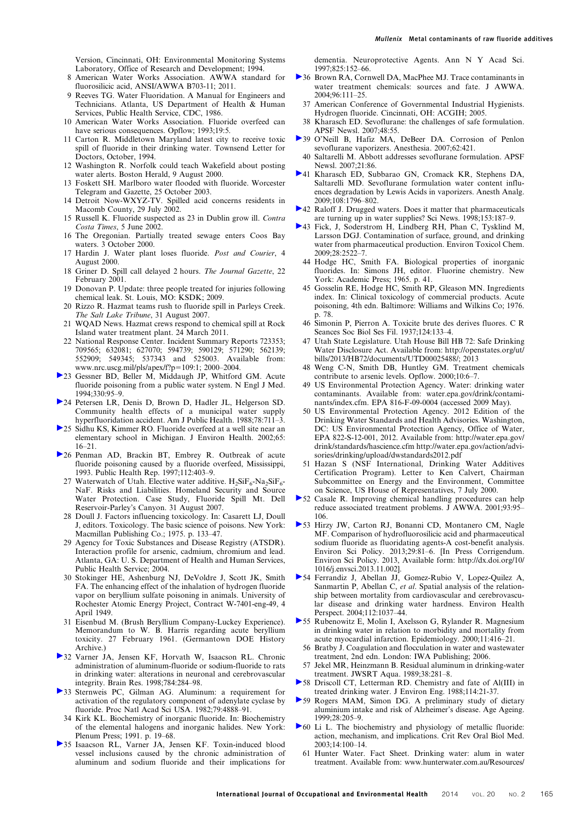- 8 American Water Works Association. AWWA standard for fluorosilicic acid, ANSI/AWWA B703-11; 2011.
- 9 Reeves TG. Water Fluoridation. A Manual for Engineers and Technicians. Atlanta, US Department of Health & Human Services, Public Health Service, CDC, 1986.
- 10 American Water Works Association. Fluoride overfeed can have serious consequences. Opflow; 1993;19:5.
- 11 Carton R. Middletown Maryland latest city to receive toxic spill of fluoride in their drinking water. Townsend Letter for Doctors, October, 1994.
- 12 Washington R. Norfolk could teach Wakefield about posting water alerts. Boston Herald, 9 August 2000.
- 13 Foskett SH. Marlboro water flooded with fluoride. Worcester Telegram and Gazette, 25 October 2003.
- 14 Detroit Now-WXYZ-TV. Spilled acid concerns residents in Macomb County, 29 July 2002.
- 15 Russell K. Fluoride suspected as 23 in Dublin grow ill. Contra Costa Times, 5 June 2002.
- 16 The Oregonian. Partially treated sewage enters Coos Bay waters. 3 October 2000.
- 17 Hardin J. Water plant loses fluoride. Post and Courier, 4 August 2000.
- 18 Griner D. Spill call delayed 2 hours. The Journal Gazette, 22 February 2001.
- 19 Donovan P. Update: three people treated for injuries following chemical leak. St. Louis, MO: KSDK; 2009.
- 20 Rizzo R. Hazmat teams rush to fluoride spill in Parleys Creek. The Salt Lake Tribune, 31 August 2007.
- 21 WQAD News. Hazmat crews respond to chemical spill at Rock Island water treatment plant. 24 March 2011.
- 22 National Response Center. Incident Summary Reports 723353; 709565; 632081; 627070; 594739; 590129; 571290; 562139; 552909; 549345; 537343 and 525003. Available from: www.nrc.uscg.mil/pls/apex/f?p=109:1; 2000–2004.
- 23 Gessner BD, Beller M, Middaugh JP, Whitford GM. Acute fluoride poisoning from a public water system. N Engl J Med.  $1994.330.95-9$
- 24 Petersen LR, Denis D, Brown D, Hadler JL, Helgerson SD. Community health effects of a municipal water supply hyperfluoridation accident. Am J Public Health. 1988;78:711-3.
- 25 Sidhu KS, Kimmer RO. Fluoride overfeed at a well site near an elementary school in Michigan. J Environ Health. 2002;65: 16–21.
- 26 Penman AD, Brackin BT, Embrey R. Outbreak of acute fluoride poisoning caused by a fluoride overfeed, Mississippi, 1993. Public Health Rep. 1997;112:403–9.
	- 27 Waterwatch of Utah. Elective water additive.  $H_2SiF_6-Na_2SiF_6$ -NaF. Risks and Liabilities. Homeland Security and Source Water Protection. Case Study, Fluoride Spill Mt. Dell Reservoir-Parley's Canyon. 31 August 2007.
	- 28 Doull J. Factors influencing toxicology. In: Casarett LJ, Doull J, editors. Toxicology. The basic science of poisons. New York: Macmillan Publishing Co.; 1975. p. 133–47.
	- 29 Agency for Toxic Substances and Disease Registry (ATSDR). Interaction profile for arsenic, cadmium, chromium and lead. Atlanta, GA: U. S. Department of Health and Human Services, Public Health Service; 2004.
	- 30 Stokinger HE, Ashenburg NJ, DeVoldre J, Scott JK, Smith FA. The enhancing effect of the inhalation of hydrogen fluoride vapor on beryllium sulfate poisoning in animals. University of Rochester Atomic Energy Project, Contract W-7401-eng-49, 4 April 1949.
- 31 Eisenbud M. (Brush Beryllium Company-Luckey Experience). Memorandum to W. B. Harris regarding acute beryllium toxicity. 27 February 1961. (Germantown DOE History Archive.)
- 32 Varner JA, Jensen KF, Horvath W, Isaacson RL. Chronic administration of aluminum-fluoride or sodium-fluoride to rats in drinking water: alterations in neuronal and cerebrovascular integrity. Brain Res. 1998;784:284–98.
- 33 Sternweis PC, Gilman AG. Aluminum: a requirement for activation of the regulatory component of adenylate cyclase by fluoride. Proc Natl Acad Sci USA. 1982;79:4888-91.
- 34 Kirk KL. Biochemistry of inorganic fluoride. In: Biochemistry of the elemental halogens and inorganic halides. New York: Plenum Press; 1991. p. 19–68.
- 35 Isaacson RL, Varner JA, Jensen KF. Toxin-induced blood vessel inclusions caused by the chronic administration of aluminum and sodium fluoride and their implications for

dementia. Neuroprotective Agents. Ann N Y Acad Sci. 1997;825:152–66.

- 36 Brown RA, Cornwell DA, MacPhee MJ. Trace contaminants in water treatment chemicals: sources and fate. J AWWA. 2004;96:111–25.
	- 37 American Conference of Governmental Industrial Hygienists. Hydrogen fluoride. Cincinnati, OH: ACGIH; 2005.
	- 38 Kharasch ED. Sevoflurane: the challenges of safe formulation. APSF Newsl. 2007;48:55.
- 39 O'Neill B, Hafiz MA, DeBeer DA. Corrosion of Penlon sevoflurane vaporizers. Anesthesia. 2007;62:421.
- 40 Saltarelli M. Abbott addresses sevoflurane formulation. APSF Newsl. 2007;21:86.
- 41 Kharasch ED, Subbarao GN, Cromack KR, Stephens DA, Saltarelli MD. Sevoflurane formulation water content influences degradation by Lewis Acids in vaporizers. Anesth Analg. 2009;108:1796–802.
- ▶ 42 Raloff J. Drugged waters. Does it matter that pharmaceuticals are turning up in water supplies? Sci News. 1998;153:187–9.
- 43 Fick, J, Soderstrom H, Lindberg RH, Phan C, Tysklind M, Larsson DGJ. Contamination of surface, ground, and drinking water from pharmaceutical production. Environ Toxicol Chem. 2009;28:2522–7.
	- 44 Hodge HC, Smith FA. Biological properties of inorganic fluorides. In: Simons JH, editor. Fluorine chemistry. New York: Academic Press; 1965. p. 41.
	- 45 Gosselin RE, Hodge HC, Smith RP, Gleason MN. Ingredients index. In: Clinical toxicology of commercial products. Acute poisoning, 4th edn. Baltimore: Williams and Wilkins Co; 1976. p. 78.
	- 46 Simonin P, Pierron A. Toxicite brute des derives fluores. C R Seances Soc Biol Ses Fil. 1937;124:133–4.
	- 47 Utah State Legislature. Utah House Bill HB 72: Safe Drinking Water Disclosure Act. Available from: http://openstates.org/ut/ bills/2013/HB72/documents/UTD00025488/; 2013
	- 48 Weng C-N, Smith DB, Huntley GM. Treatment chemicals contribute to arsenic levels. Opflow. 2000;10:6–7.
	- 49 US Environmental Protection Agency. Water: drinking water contaminants. Available from: water.epa.gov/drink/contaminants/index.cfm. EPA 816-F-09-0004 (accessed 2009 May).
	- 50 US Environmental Protection Agency. 2012 Edition of the Drinking Water Standards and Health Advisories. Washington, DC: US Environmental Protection Agency, Office of Water, EPA 822-S-12-001, 2012. Available from: http://water.epa.gov/ drink/standards/hascience.cfm http://water.epa.gov/action/advisories/drinking/upload/dwstandards2012.pdf
- 51 Hazan S (NSF International, Drinking Water Additives Certification Program). Letter to Ken Calvert, Chairman Subcommittee on Energy and the Environment, Committee on Science, US House of Representatives, 7 July 2000.
- 52 Casale R. Improving chemical handling procedures can help reduce associated treatment problems. J AWWA. 2001;93:95– 106.
- 53 Hirzy JW, Carton RJ, Bonanni CD, Montanero CM, Nagle MF. Comparison of hydrofluorosilicic acid and pharmaceutical sodium fluoride as fluoridating agents-A cost-benefit analysis. Environ Sci Policy. 2013;29:81–6. [In Press Corrigendum. Environ Sci Policy. 2013, Available form: http://dx.doi.org/10/ 1016/j.envsci.2013.11.002].
- 54 Ferrandiz J, Abellan JJ, Gomez-Rubio V, Lopez-Quilez A, Sanmartin P, Abellan C, et al. Spatial analysis of the relationship between mortality from cardiovascular and cerebrovascular disease and drinking water hardness. Environ Health Perspect. 2004;112:1037–44.
- 55 Rubenowitz E, Molin I, Axelsson G, Rylander R. Magnesium in drinking water in relation to morbidity and mortality from acute myocardial infarction. Epidemiology. 2000;11:416–21.
- 56 Bratby J. Coagulation and flocculation in water and wastewater treatment, 2nd edn. London: IWA Publishing; 2006.
- 57 Jekel MR, Heinzmann B. Residual aluminum in drinking-water treatment. JWSRT Aqua. 1989;38:281–8.
- 58 Driscoll CT, Letterman RD. Chemistry and fate of Al(III) in treated drinking water. J Environ Eng. 1988;114:21-37.
- 59 Rogers MAM, Simon DG. A preliminary study of dietary aluminium intake and risk of Alzheimer's disease. Age Ageing. 1999;28:205–9.
- 60 Li L. The biochemistry and physiology of metallic fluoride: action, mechanism, and implications. Crit Rev Oral Biol Med. 2003;14:100–14.
- 61 Hunter Water. Fact Sheet. Drinking water: alum in water treatment. Available from: www.hunterwater.com.au/Resources/